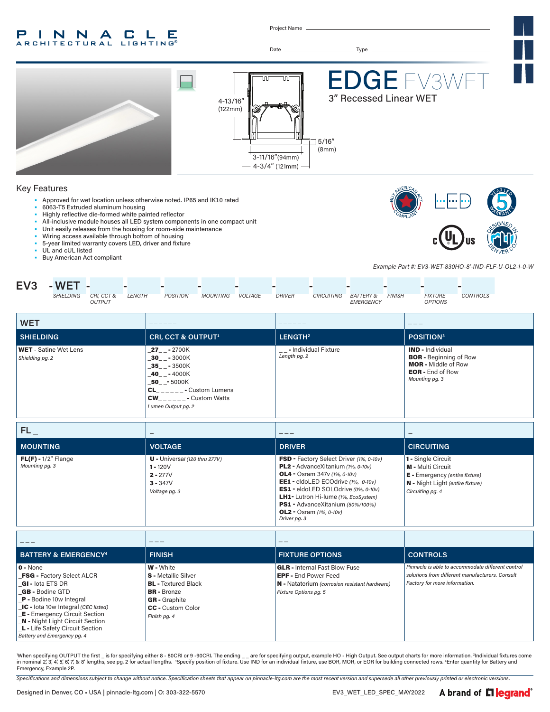#### INNA C L P E L E **RCHITECTURAL**

Project Name



'When specifying OUTPUT the first \_ is for specifying either 8 - 80CRI or 9 -90CRI. The ending \_\_ are for specifying output, example HO - High Output. See output charts for more information. <sup>2</sup>Individual fixtures come<br>in Emergency, Example 2P.

*Specifications and dimensions subject to change without notice. Specification sheets that appear on pinnacle-ltg.com are the most recent version and supersede all other previously printed or electronic versions.*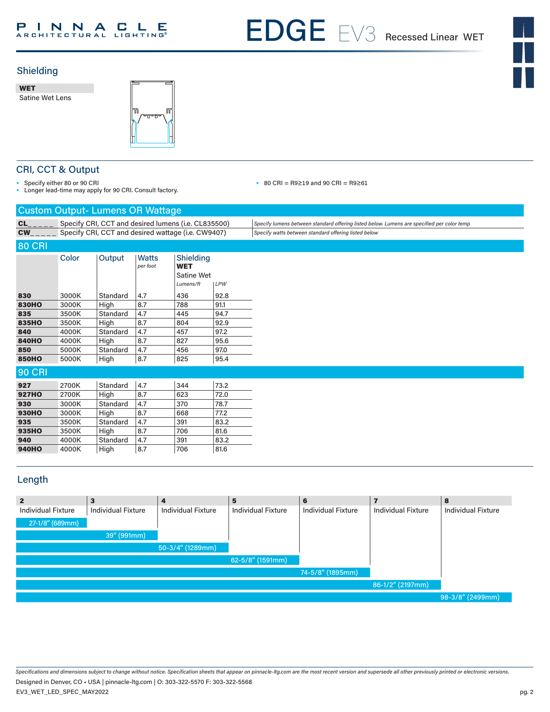# PINNACLE

EDGE 3 EX3WET



# Shielding

WET Satine Wet Lens



# CRI, CCT & Output

• Specify either 80 or 90 CRI

• Longer lead-time may apply for 90 CRI. Consult factory.

• 80 CRI = R9≥19 and 90 CRI = R9≥61

| <b>Custom Output-Lumens OR Wattage</b> |                                                     |          |                          |                                                    |      |                                                                                            |  |  |  |
|----------------------------------------|-----------------------------------------------------|----------|--------------------------|----------------------------------------------------|------|--------------------------------------------------------------------------------------------|--|--|--|
| CL                                     | Specify CRI, CCT and desired lumens (i.e. CL835500) |          |                          |                                                    |      | Specify lumens between standard offering listed below. Lumens are specified per color temp |  |  |  |
| <b>CW</b>                              | Specify CRI, CCT and desired wattage (i.e. CW9407)  |          |                          |                                                    |      | Specify watts between standard offering listed below                                       |  |  |  |
| <b>80 CRI</b>                          |                                                     |          |                          |                                                    |      |                                                                                            |  |  |  |
|                                        | Color                                               | Output   | <b>Watts</b><br>per foot | Shielding<br><b>WET</b><br>Satine Wet<br>Lumens/ft | LPW  |                                                                                            |  |  |  |
| 830                                    | 3000K                                               | Standard | 4.7                      | 436                                                | 92.8 |                                                                                            |  |  |  |
| <b>830HO</b>                           | 3000K                                               | High     | 8.7                      | 788                                                | 91.1 |                                                                                            |  |  |  |
| 835                                    | 3500K                                               | Standard | 4.7                      | 445                                                | 94.7 |                                                                                            |  |  |  |
| 835HO                                  | 3500K                                               | High     | 8.7                      | 804                                                | 92.9 |                                                                                            |  |  |  |
| 840                                    | 4000K                                               | Standard | 4.7                      | 457                                                | 97.2 |                                                                                            |  |  |  |
| <b>840HO</b>                           | 4000K                                               | High     | 8.7                      | 827                                                | 95.6 |                                                                                            |  |  |  |
| 850                                    | 5000K                                               | Standard | 4.7                      | 456                                                | 97.0 |                                                                                            |  |  |  |
| <b>850HO</b>                           | 5000K                                               | High     | 8.7                      | 825                                                | 95.4 |                                                                                            |  |  |  |
| <b>90 CRI</b>                          |                                                     |          |                          |                                                    |      |                                                                                            |  |  |  |
| 927                                    | 2700K                                               | Standard | 4.7                      | 344                                                | 73.2 |                                                                                            |  |  |  |
| <b>927HO</b>                           | 2700K                                               | High     | 8.7                      | 623                                                | 72.0 |                                                                                            |  |  |  |
| 930                                    | 3000K                                               | Standard | 4.7                      | 370                                                | 78.7 |                                                                                            |  |  |  |
| <b>930HO</b>                           | 3000K                                               | High     | 8.7                      | 668                                                | 77.2 |                                                                                            |  |  |  |
| 935                                    | 3500K                                               | Standard | 4.7                      | 391                                                | 83.2 |                                                                                            |  |  |  |
| 935HO                                  | 3500K                                               | High     | 8.7                      | 706                                                | 81.6 |                                                                                            |  |  |  |
| 940                                    | 4000K                                               | Standard | 4.7                      | 391                                                | 83.2 |                                                                                            |  |  |  |
| <b>940HO</b>                           | 4000K                                               | High     | 8.7                      | 706                                                | 81.6 |                                                                                            |  |  |  |

# Length

| $\mathbf{2}$              | 3                         |                           | 5                         | 6                         |                           | 8                         |
|---------------------------|---------------------------|---------------------------|---------------------------|---------------------------|---------------------------|---------------------------|
| <b>Individual Fixture</b> | <b>Individual Fixture</b> | <b>Individual Fixture</b> | <b>Individual Fixture</b> | <b>Individual Fixture</b> | <b>Individual Fixture</b> | <b>Individual Fixture</b> |
| 27-1/8" (689mm)           |                           |                           |                           |                           |                           |                           |
|                           | 39" (991mm)               |                           |                           |                           |                           |                           |
|                           |                           | $50-3/4"$ (1289mm)        |                           |                           |                           |                           |
|                           |                           |                           | 62-5/8" (1591mm)          |                           |                           |                           |
|                           |                           |                           |                           | 74-5/8" (1895mm)          |                           |                           |
|                           |                           |                           |                           |                           | 86-1/2" (2197mm)          |                           |
|                           |                           |                           |                           |                           |                           | 98-3/8" (2499mm)          |

*Specifications and dimensions subject to change without notice. Specification sheets that appear on pinnacle-ltg.com are the most recent version and supersede all other previously printed or electronic versions.* EV3\_WET\_LED\_SPEC\_MAY2022 Designed in Denver, CO • USA | pinnacle-ltg.com | O: 303-322-5570 F: 303-322-5568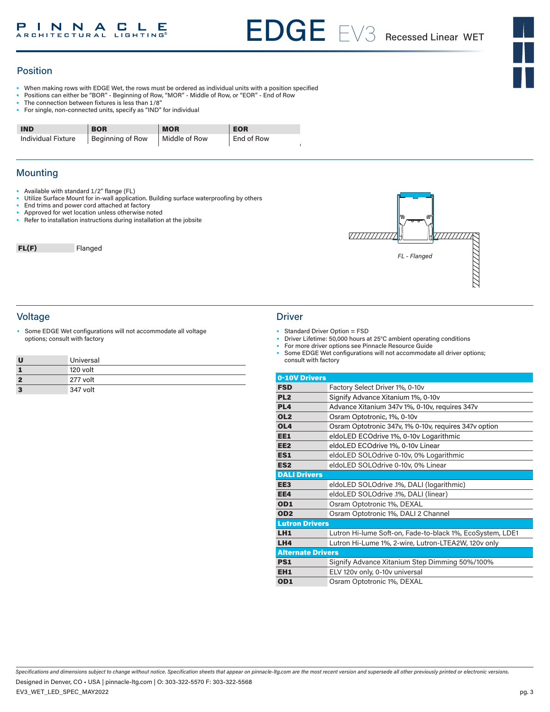# Position

- When making rows with EDGE Wet, the rows must be ordered as individual units with a position specified
- Positions can either be "BOR" Beginning of Row, "MOR" Middle of Row, or "EOR" End of Row
- The connection between fixtures is less than 1/8"
- For single, non-connected units, specify as "IND" for individual

| <b>IND</b>         | <b>BOR</b>       | <b>MOR</b>    | <b>EOR</b> |
|--------------------|------------------|---------------|------------|
| Individual Fixture | Beginning of Row | Middle of Row | End of Row |

# **Mounting**

- Available with standard 1/2" flange (FL)
- Utilize Surface Mount for in-wall application. Building surface waterproofing by others
- End trims and power cord attached at factory
- Approved for wet location unless otherwise noted
- Refer to installation instructions during installation at the jobsite

FL(F) Flanged



# Voltage Driver

Some EDGE Wet configurations will not accommodate all voltage options; consult with factory

| U | Universal |
|---|-----------|
|   | 120 volt  |
| 2 | 277 volt  |
| 3 | 347 volt  |

- Standard Driver Option = FSD<br>• Driver Lifetime: 50,000 bours at
- Driver Lifetime: 50,000 hours at 25°C ambient operating conditions
- For more driver options see Pinnacle Resource Guide
- Some EDGE Wet configurations will not accommodate all driver options; consult with factory

| 0-10V Drivers            |                                                           |
|--------------------------|-----------------------------------------------------------|
| <b>FSD</b>               | Factory Select Driver 1%, 0-10v                           |
| PL <sub>2</sub>          | Signify Advance Xitanium 1%, 0-10v                        |
| PL <sub>4</sub>          | Advance Xitanium 347v 1%, 0-10v, requires 347v            |
| OL <sub>2</sub>          | Osram Optotronic, 1%, 0-10v                               |
| OL <sub>4</sub>          | Osram Optotronic 347v, 1% 0-10v, requires 347v option     |
| EE1                      | eldoLED ECOdrive 1%, 0-10v Logarithmic                    |
| EE <sub>2</sub>          | eldoLED ECOdrive 1%, 0-10v Linear                         |
| ES1                      | eldoLED SOLOdrive 0-10v, 0% Logarithmic                   |
| ES <sub>2</sub>          | eldoLED SOLOdrive 0-10v, 0% Linear                        |
| <b>DALI Drivers</b>      |                                                           |
| EE <sub>3</sub>          | eldoLED SOLOdrive .1%, DALI (logarithmic)                 |
| EE4                      | eldoLED SOLOdrive .1%, DALI (linear)                      |
| OD1                      | Osram Optotronic 1%, DEXAL                                |
| OD <sub>2</sub>          | Osram Optotronic 1%, DALI 2 Channel                       |
| <b>Lutron Drivers</b>    |                                                           |
| LH <sub>1</sub>          | Lutron Hi-lume Soft-on, Fade-to-black 1%, EcoSystem, LDE1 |
| LH4                      | Lutron Hi-Lume 1%, 2-wire, Lutron-LTEA2W, 120v only       |
| <b>Alternate Drivers</b> |                                                           |
| PS1                      | Signify Advance Xitanium Step Dimming 50%/100%            |
| EH <sub>1</sub>          | ELV 120v only, 0-10v universal                            |
| OD <sub>1</sub>          | Osram Optotronic 1%, DEXAL                                |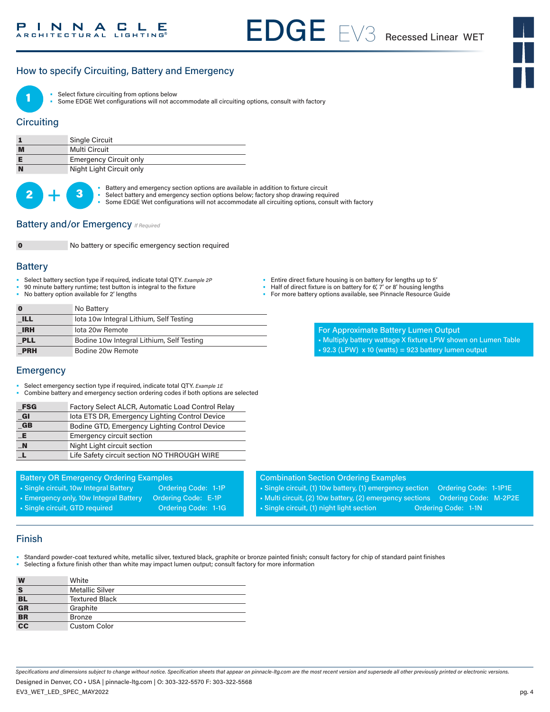# How to specify Circuiting, Battery and Emergency



Select fixture circuiting from options below

• Some EDGE Wet configurations will not accommodate all circuiting options, consult with factory

# **Circuiting**

|   | <b>Single Circuit</b>         |
|---|-------------------------------|
| M | Multi Circuit                 |
|   | <b>Emergency Circuit only</b> |
| N | Night Light Circuit only      |

 $2 +$ 

Battery and emergency section options are available in addition to fixture circuit

- Select battery and emergency section options below; factory shop drawing required
- Some EDGE Wet configurations will not accommodate all circuiting options, consult with factory

### **Battery and/or Emergency** *If Required*



No battery or specific emergency section required

### **Battery**

- Select battery section type if required, indicate total QTY*. Example 2P*
- 90 minute battery runtime; test button is integral to the fixture
- No battery option available for 2' lengths
- Entire direct fixture housing is on battery for lengths up to 5' • Half of direct fixture is on battery for 6', 7' or 8' housing lengths
- For more battery options available, see Pinnacle Resource Guide

| $\bf{0}$   | No Battery                                |
|------------|-------------------------------------------|
| <b>ILL</b> | lota 10w Integral Lithium, Self Testing   |
| <b>IRH</b> | lota 20w Remote                           |
| <b>PLL</b> | Bodine 10w Integral Lithium, Self Testing |
| <b>PRH</b> | Bodine 20w Remote                         |

- For Approximate Battery Lumen Output • Multiply battery wattage X fixture LPW shown on Lumen Table
- $\text{-}$  92.3 (LPW) x 10 (watts) = 923 battery lumen output

# **Emergency**

- Select emergency section type if required, indicate total QTY. *Example 1E*
- Combine battery and emergency section ordering codes if both options are selected

| <b>FSG</b>           | Factory Select ALCR, Automatic Load Control Relay |
|----------------------|---------------------------------------------------|
| $_{\blacksquare}$ GI | lota ETS DR, Emergency Lighting Control Device    |
| $G$ B                | Bodine GTD, Emergency Lighting Control Device     |
| E                    | <b>Emergency circuit section</b>                  |
| $\blacksquare$ N     | Night Light circuit section                       |
| п.                   | Life Safety circuit section NO THROUGH WIRE       |

#### Battery OR Emergency Ordering Examples

- Single circuit, 10w Integral Battery **Ordering Code: 1-1P**
- Emergency only, 10w Integral Battery Ordering Code: E-1P
- 
- Single circuit, GTD required Condering Code: 1-1G

#### Combination Section Ordering Examples

- Single circuit, (1) 10w battery, (1) emergency section Ordering Code: 1-1P1E • Multi circuit, (2) 10w battery, (2) emergency sections Ordering Code: M-2P2E • Single circuit, (1) night light section **Ordering Code: 1-1N**
- 

# Finish

• Standard powder-coat textured white, metallic silver, textured black, graphite or bronze painted finish; consult factory for chip of standard paint finishes • Selecting a fixture finish other than white may impact lumen output; consult factory for more information

| W                         | White                  |
|---------------------------|------------------------|
| S                         | <b>Metallic Silver</b> |
| <b>BL</b>                 | <b>Textured Black</b>  |
| $\overline{\mathbf{G}}$ R | Graphite               |
| $\overline{\mathbf{BR}}$  | <b>Bronze</b>          |
| $\frac{1}{1}$             | <b>Custom Color</b>    |

*Specifications and dimensions subject to change without notice. Specification sheets that appear on pinnacle-ltg.com are the most recent version and supersede all other previously printed or electronic versions.*

EV3\_WET\_LED\_SPEC\_MAY2022 Designed in Denver, CO • USA | pinnacle-ltg.com | O: 303-322-5570 F: 303-322-5568